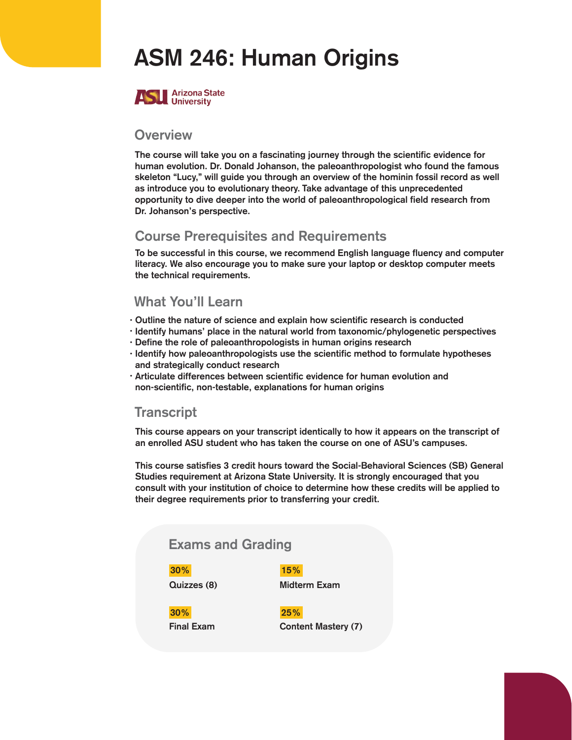# ASM 246: Human Origins



#### **Overview**

The course will take you on a fascinating journey through the scientific evidence for human evolution. Dr. Donald Johanson, the paleoanthropologist who found the famous skeleton "Lucy," will guide you through an overview of the hominin fossil record as well as introduce you to evolutionary theory. Take advantage of this unprecedented opportunity to dive deeper into the world of paleoanthropological field research from Dr. Johanson's perspective.

#### Course Prerequis**I**tes and Requirements

To be successful in this course, we recommend English language fluency and computer literacy. We also encourage you to make sure your laptop or desktop computer meets the technical requirements.

#### What You'll Learn

- Outline the nature of science and explain how scientific research is conducted •
- Identify humans' place in the natural world from taxonomic/phylogenetic perspectives
- Define the role of paleoanthropologists in human origins research •
- · Identify how paleoanthropologists use the scientific method to formulate hypotheses and strategically conduct research
- Articulate differences between scientific evidence for human evolution and non-scientific, non-testable, explanations for human origins

#### **Transcript**

This course appears on your transcript identically to how it appears on the transcript of an enrolled ASU student who has taken the course on one of ASU's campuses.

This course satisfies 3 credit hours toward the Social-Behavioral Sciences (SB) General Studies requirement at Arizona State University. It is strongly encouraged that you consult with your institution of choice to determine how these credits will be applied to their degree requirements prior to transferring your credit.

### Exams and Grading

30% 15%

Quizzes (8) Midterm Exam

30% 25%

Final Exam Content Mastery (7)